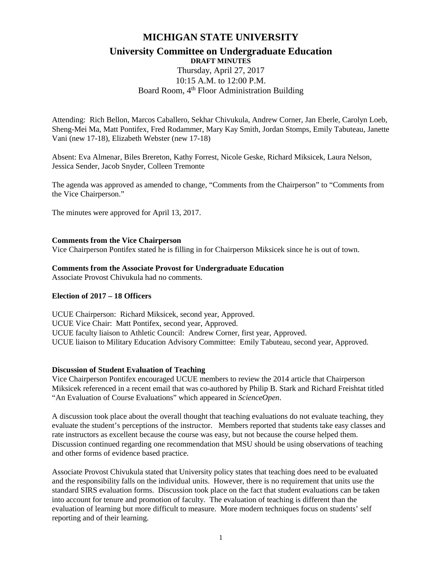## **MICHIGAN STATE UNIVERSITY**

## **University Committee on Undergraduate Education DRAFT MINUTES**

# Thursday, April 27, 2017 10:15 A.M. to 12:00 P.M. Board Room, 4<sup>th</sup> Floor Administration Building

Attending: Rich Bellon, Marcos Caballero, Sekhar Chivukula, Andrew Corner, Jan Eberle, Carolyn Loeb, Sheng-Mei Ma, Matt Pontifex, Fred Rodammer, Mary Kay Smith, Jordan Stomps, Emily Tabuteau, Janette Vani (new 17-18), Elizabeth Webster (new 17-18)

Absent: Eva Almenar, Biles Brereton, Kathy Forrest, Nicole Geske, Richard Miksicek, Laura Nelson, Jessica Sender, Jacob Snyder, Colleen Tremonte

The agenda was approved as amended to change, "Comments from the Chairperson" to "Comments from the Vice Chairperson."

The minutes were approved for April 13, 2017.

#### **Comments from the Vice Chairperson**

Vice Chairperson Pontifex stated he is filling in for Chairperson Miksicek since he is out of town.

#### **Comments from the Associate Provost for Undergraduate Education**

Associate Provost Chivukula had no comments.

#### **Election of 2017 – 18 Officers**

UCUE Chairperson: Richard Miksicek, second year, Approved. UCUE Vice Chair: Matt Pontifex, second year, Approved. UCUE faculty liaison to Athletic Council: Andrew Corner, first year, Approved. UCUE liaison to Military Education Advisory Committee: Emily Tabuteau, second year, Approved.

#### **Discussion of Student Evaluation of Teaching**

Vice Chairperson Pontifex encouraged UCUE members to review the 2014 article that Chairperson Miksicek referenced in a recent email that was co-authored by Philip B. Stark and Richard Freishtat titled "An Evaluation of Course Evaluations" which appeared in *ScienceOpen*.

A discussion took place about the overall thought that teaching evaluations do not evaluate teaching, they evaluate the student's perceptions of the instructor. Members reported that students take easy classes and rate instructors as excellent because the course was easy, but not because the course helped them. Discussion continued regarding one recommendation that MSU should be using observations of teaching and other forms of evidence based practice.

Associate Provost Chivukula stated that University policy states that teaching does need to be evaluated and the responsibility falls on the individual units. However, there is no requirement that units use the standard SIRS evaluation forms. Discussion took place on the fact that student evaluations can be taken into account for tenure and promotion of faculty. The evaluation of teaching is different than the evaluation of learning but more difficult to measure. More modern techniques focus on students' self reporting and of their learning.